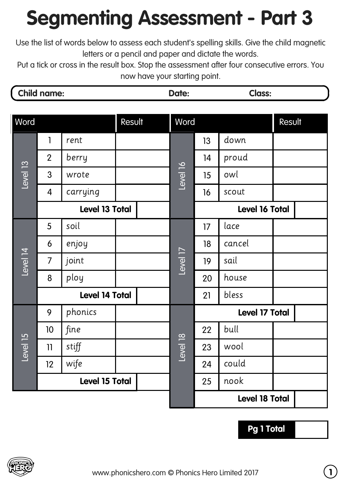## **Segmenting Assessment - Part 3**

Use the list of words below to assess each student's spelling skills. Give the child magnetic letters or a pencil and paper and dictate the words.

Put a tick or cross in the result box. Stop the assessment after four consecutive errors. You now have your starting point.

| <b>Child name:</b><br><b>Date:</b><br><b>Class:</b> |  |
|-----------------------------------------------------|--|
|-----------------------------------------------------|--|

| Word                |                       |          | Result | Word     |                       |        | Result |
|---------------------|-----------------------|----------|--------|----------|-----------------------|--------|--------|
| Level <sub>13</sub> | 1                     | rent     |        | Level 16 | 13                    | down   |        |
|                     | $\overline{2}$        | berry    |        |          | 14                    | proud  |        |
|                     | 3                     | wrote    |        |          | 15                    | owl    |        |
|                     | $\overline{4}$        | carrying |        |          | 16                    | scout  |        |
|                     | <b>Level 13 Total</b> |          |        |          | Level 16 Total        |        |        |
| Level 14            | 5                     | soil     |        | Level 17 | 17                    | lace   |        |
|                     | 6                     | enjoy    |        |          | 18                    | cancel |        |
|                     | $\overline{7}$        | joint    |        |          | 19                    | sail   |        |
|                     | 8                     | ploy     |        |          | 20                    | house  |        |
|                     | <b>Level 14 Total</b> |          |        |          | 21                    | bless  |        |
| Level 15            | 9                     | phonics  |        |          | <b>Level 17 Total</b> |        |        |
|                     | 10                    | fine     |        | Level 18 | 22                    | bull   |        |
|                     | 11                    | stiff    |        |          | 23                    | wool   |        |
|                     | 12                    | wife     |        |          | 24                    | could  |        |
|                     | <b>Level 15 Total</b> |          |        |          | 25                    | nook   |        |
|                     |                       |          |        |          | <b>Level 18 Total</b> |        |        |